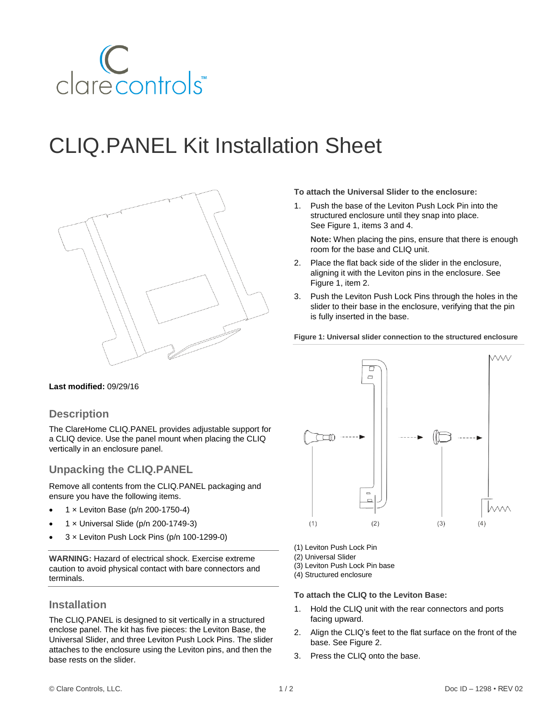

# CLIQ.PANEL Kit Installation Sheet



**To attach the Universal Slider to the enclosure:**

1. Push the base of the Leviton Push Lock Pin into the structured enclosure until they snap into place. See Figure 1, items 3 and 4.

**Note:** When placing the pins, ensure that there is enough room for the base and CLIQ unit.

- 2. Place the flat back side of the slider in the enclosure, aligning it with the Leviton pins in the enclosure. See Figure 1, item 2.
- 3. Push the Leviton Push Lock Pins through the holes in the slider to their base in the enclosure, verifying that the pin is fully inserted in the base.

**Figure 1: Universal slider connection to the structured enclosure**

#### **Last modified:** 09/29/16

### **Description**

The ClareHome CLIQ.PANEL provides adjustable support for a CLIQ device. Use the panel mount when placing the CLIQ vertically in an enclosure panel.

# **Unpacking the CLIQ.PANEL**

Remove all contents from the CLIQ.PANEL packaging and ensure you have the following items.

- 1 × Leviton Base (p/n 200-1750-4)
- 1 × Universal Slide (p/n 200-1749-3)
- 3 × Leviton Push Lock Pins (p/n 100-1299-0)

**WARNING:** Hazard of electrical shock. Exercise extreme caution to avoid physical contact with bare connectors and terminals.

### **Installation**

The CLIQ.PANEL is designed to sit vertically in a structured enclose panel. The kit has five pieces: the Leviton Base, the Universal Slider, and three Leviton Push Lock Pins. The slider attaches to the enclosure using the Leviton pins, and then the base rests on the slider.



- (1) Leviton Push Lock Pin
- (2) Universal Slider
- (3) Leviton Push Lock Pin base
- (4) Structured enclosure

#### **To attach the CLIQ to the Leviton Base:**

- 1. Hold the CLIQ unit with the rear connectors and ports facing upward.
- 2. Align the CLIQ's feet to the flat surface on the front of the base. See Figure 2.
- 3. Press the CLIQ onto the base.